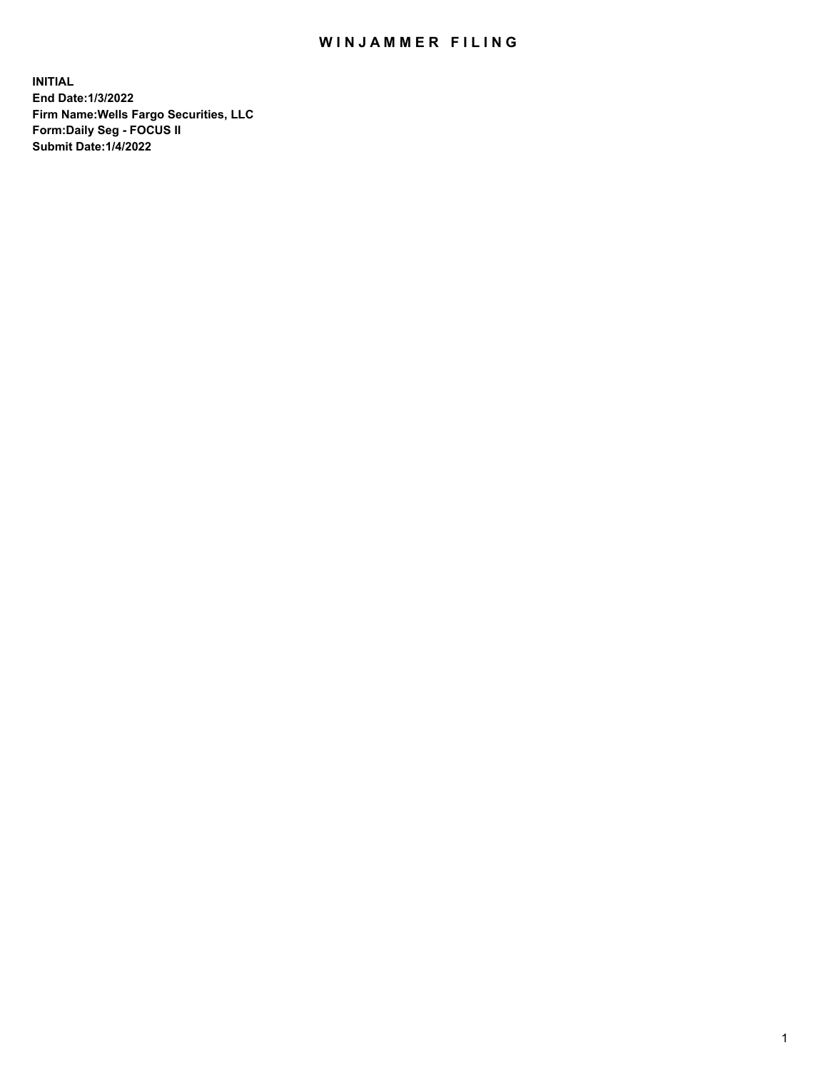## WIN JAMMER FILING

**INITIAL End Date:1/3/2022 Firm Name:Wells Fargo Securities, LLC Form:Daily Seg - FOCUS II Submit Date:1/4/2022**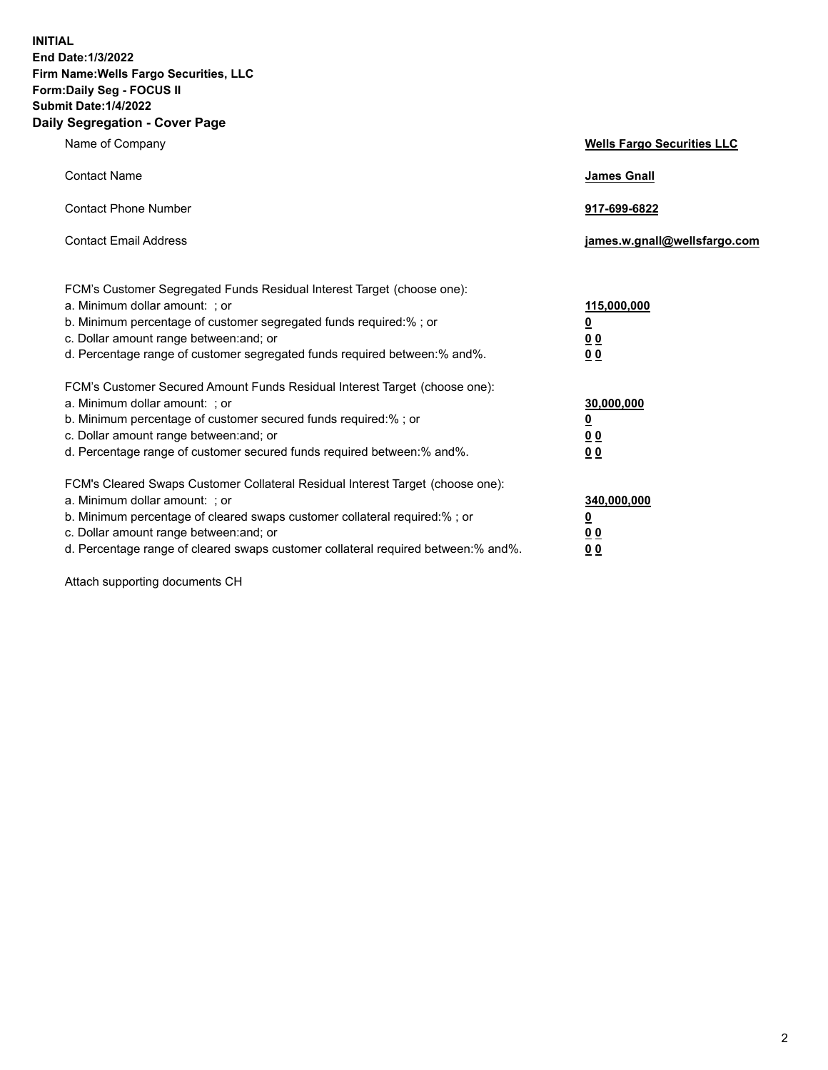**INITIAL End Date:1/3/2022 Firm Name:Wells Fargo Securities, LLC Form:Daily Seg - FOCUS II Submit Date:1/4/2022 Daily Segregation - Cover Page**

| Name of Company                                                                                                                                                                                                                                                                                                               | <b>Wells Fargo Securities LLC</b>                          |
|-------------------------------------------------------------------------------------------------------------------------------------------------------------------------------------------------------------------------------------------------------------------------------------------------------------------------------|------------------------------------------------------------|
| <b>Contact Name</b>                                                                                                                                                                                                                                                                                                           | <b>James Gnall</b>                                         |
| <b>Contact Phone Number</b>                                                                                                                                                                                                                                                                                                   | 917-699-6822                                               |
| <b>Contact Email Address</b>                                                                                                                                                                                                                                                                                                  | james.w.gnall@wellsfargo.com                               |
| FCM's Customer Segregated Funds Residual Interest Target (choose one):<br>a. Minimum dollar amount: ; or<br>b. Minimum percentage of customer segregated funds required:% ; or<br>c. Dollar amount range between: and; or<br>d. Percentage range of customer segregated funds required between:% and%.                        | 115,000,000<br><u>0</u><br><u>00</u><br>00                 |
| FCM's Customer Secured Amount Funds Residual Interest Target (choose one):<br>a. Minimum dollar amount: ; or<br>b. Minimum percentage of customer secured funds required:%; or<br>c. Dollar amount range between: and; or<br>d. Percentage range of customer secured funds required between: % and %.                         | 30,000,000<br><u>0</u><br>0 <sub>0</sub><br>0 <sub>0</sub> |
| FCM's Cleared Swaps Customer Collateral Residual Interest Target (choose one):<br>a. Minimum dollar amount: ; or<br>b. Minimum percentage of cleared swaps customer collateral required:%; or<br>c. Dollar amount range between: and; or<br>d. Percentage range of cleared swaps customer collateral required between:% and%. | 340,000,000<br><u>0</u><br>0 <sub>0</sub><br>00            |

Attach supporting documents CH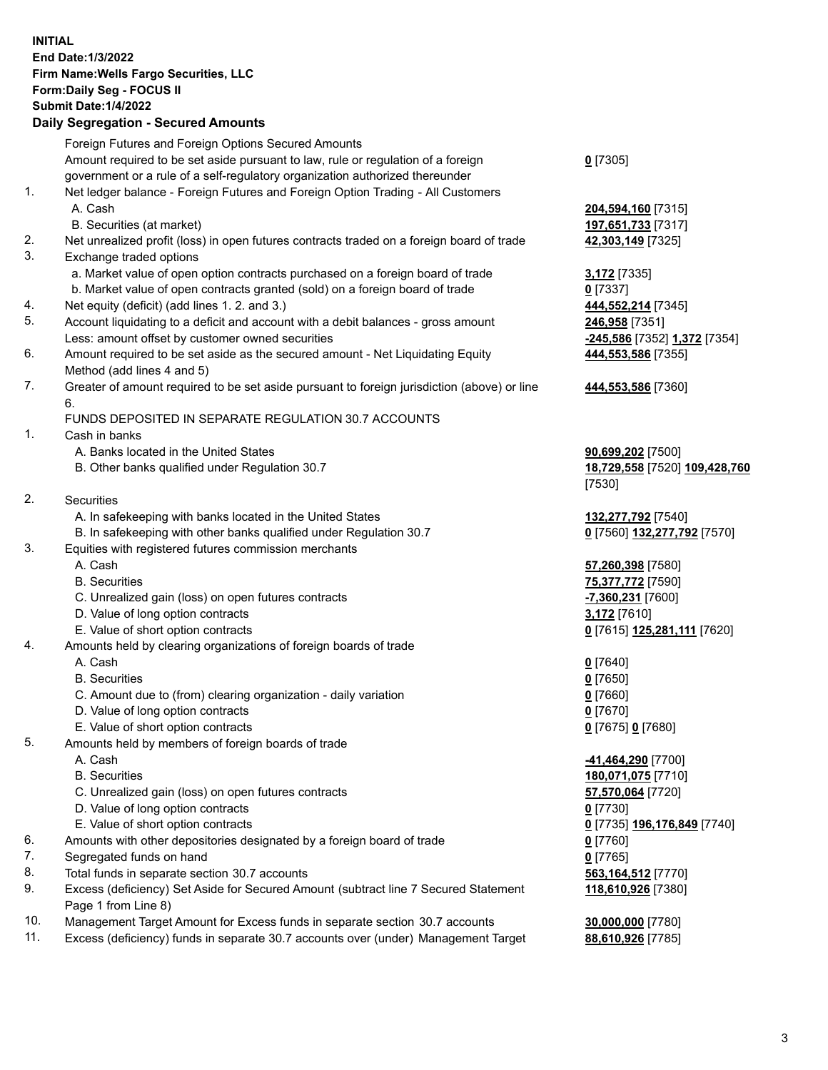**INITIAL End Date:1/3/2022 Firm Name:Wells Fargo Securities, LLC Form:Daily Seg - FOCUS II Submit Date:1/4/2022 Daily Segregation - Secured Amounts** Foreign Futures and Foreign Options Secured Amounts Amount required to be set aside pursuant to law, rule or regulation of a foreign government or a rule of a self-regulatory organization authorized thereunder 1. Net ledger balance - Foreign Futures and Foreign Option Trading - All Customers A. Cash **204,594,160** [7315] B. Securities (at market) **197,651,733** [7317]

- 2. Net unrealized profit (loss) in open futures contracts traded on a foreign board of trade **42,303,149** [7325]
- 3. Exchange traded options
	- a. Market value of open option contracts purchased on a foreign board of trade **3,172** [7335]
	- b. Market value of open contracts granted (sold) on a foreign board of trade **0** [7337]
- 4. Net equity (deficit) (add lines 1. 2. and 3.) **444,552,214** [7345]
- 5. Account liquidating to a deficit and account with a debit balances gross amount **246,958** [7351] Less: amount offset by customer owned securities **-245,586** [7352] **1,372** [7354]
- 6. Amount required to be set aside as the secured amount Net Liquidating Equity Method (add lines 4 and 5)
- 7. Greater of amount required to be set aside pursuant to foreign jurisdiction (above) or line 6.

## FUNDS DEPOSITED IN SEPARATE REGULATION 30.7 ACCOUNTS

- 1. Cash in banks
	- A. Banks located in the United States **90,699,202** [7500]
	- B. Other banks qualified under Regulation 30.7 **18,729,558** [7520] **109,428,760**
- 2. Securities
	- A. In safekeeping with banks located in the United States **132,277,792** [7540]
- B. In safekeeping with other banks qualified under Regulation 30.7 **0** [7560] **132,277,792** [7570]
- 3. Equities with registered futures commission merchants
	-
	-
	- C. Unrealized gain (loss) on open futures contracts **-7,360,231** [7600]
	- D. Value of long option contracts **3,172** [7610]
	- E. Value of short option contracts **0** [7615] **125,281,111** [7620]
- 4. Amounts held by clearing organizations of foreign boards of trade
	- A. Cash **0** [7640]
	- B. Securities **0** [7650]
	- C. Amount due to (from) clearing organization daily variation **0** [7660]
	- D. Value of long option contracts **0** [7670]
	- E. Value of short option contracts **0** [7675] **0** [7680]
- 5. Amounts held by members of foreign boards of trade
	-
	-
	- C. Unrealized gain (loss) on open futures contracts **57,570,064** [7720]
	- D. Value of long option contracts **0** [7730]
	- E. Value of short option contracts **0** [7735] **196,176,849** [7740]
- 6. Amounts with other depositories designated by a foreign board of trade **0** [7760]
- 7. Segregated funds on hand **0** [7765]
- 8. Total funds in separate section 30.7 accounts **563,164,512** [7770]
- 9. Excess (deficiency) Set Aside for Secured Amount (subtract line 7 Secured Statement Page 1 from Line 8)
- 10. Management Target Amount for Excess funds in separate section 30.7 accounts **30,000,000** [7780]
- 11. Excess (deficiency) funds in separate 30.7 accounts over (under) Management Target **88,610,926** [7785]

**0** [7305]

**444,553,586** [7355]

## **444,553,586** [7360]

[7530]

 A. Cash **57,260,398** [7580] B. Securities **75,377,772** [7590]

 A. Cash **-41,464,290** [7700] B. Securities **180,071,075** [7710] **118,610,926** [7380]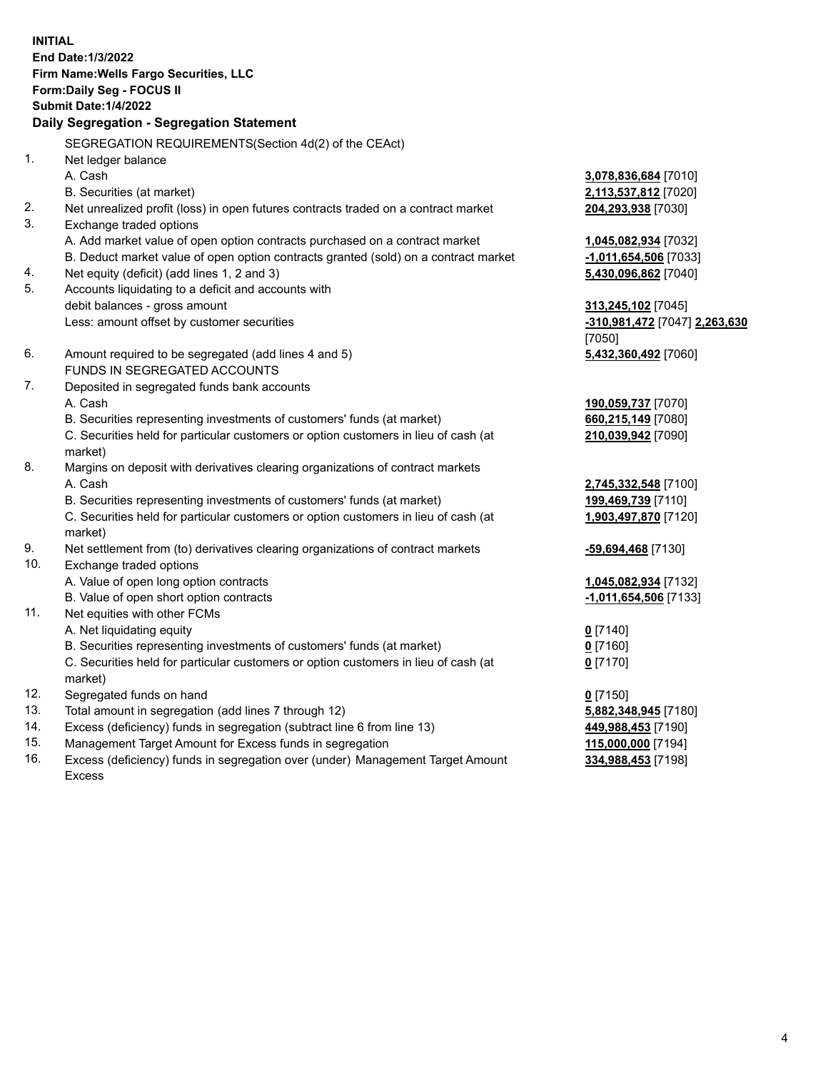**INITIAL End Date:1/3/2022 Firm Name:Wells Fargo Securities, LLC Form:Daily Seg - FOCUS II Submit Date:1/4/2022 Daily Segregation - Segregation Statement** SEGREGATION REQUIREMENTS(Section 4d(2) of the CEAct) 1. Net ledger balance A. Cash **3,078,836,684** [7010] B. Securities (at market) **2,113,537,812** [7020] 2. Net unrealized profit (loss) in open futures contracts traded on a contract market **204,293,938** [7030] 3. Exchange traded options A. Add market value of open option contracts purchased on a contract market **1,045,082,934** [7032] B. Deduct market value of open option contracts granted (sold) on a contract market **-1,011,654,506** [7033] 4. Net equity (deficit) (add lines 1, 2 and 3) **5,430,096,862** [7040] 5. Accounts liquidating to a deficit and accounts with debit balances - gross amount **313,245,102** [7045] Less: amount offset by customer securities **-310,981,472** [7047] **2,263,630** [7050] 6. Amount required to be segregated (add lines 4 and 5) **5,432,360,492** [7060] FUNDS IN SEGREGATED ACCOUNTS 7. Deposited in segregated funds bank accounts A. Cash **190,059,737** [7070] B. Securities representing investments of customers' funds (at market) **660,215,149** [7080] C. Securities held for particular customers or option customers in lieu of cash (at market) **210,039,942** [7090] 8. Margins on deposit with derivatives clearing organizations of contract markets A. Cash **2,745,332,548** [7100] B. Securities representing investments of customers' funds (at market) **199,469,739** [7110] C. Securities held for particular customers or option customers in lieu of cash (at market) **1,903,497,870** [7120] 9. Net settlement from (to) derivatives clearing organizations of contract markets **-59,694,468** [7130] 10. Exchange traded options A. Value of open long option contracts **1,045,082,934** [7132] B. Value of open short option contracts **-1,011,654,506** [7133] 11. Net equities with other FCMs A. Net liquidating equity **0** [7140] B. Securities representing investments of customers' funds (at market) **0** [7160] C. Securities held for particular customers or option customers in lieu of cash (at market) **0** [7170] 12. Segregated funds on hand **0** [7150] 13. Total amount in segregation (add lines 7 through 12) **5,882,348,945** [7180] 14. Excess (deficiency) funds in segregation (subtract line 6 from line 13) **449,988,453** [7190] 15. Management Target Amount for Excess funds in segregation **115,000,000** [7194] **334,988,453** [7198]

16. Excess (deficiency) funds in segregation over (under) Management Target Amount Excess